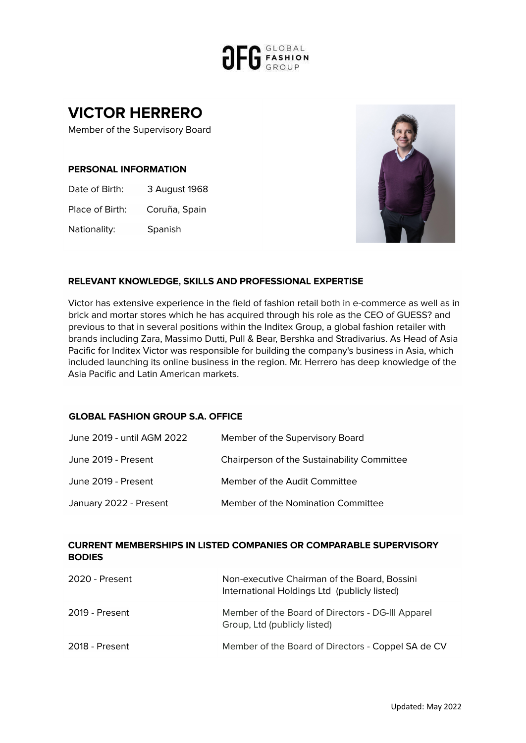

# **VICTOR HERRERO**

Member of the Supervisory Board

#### **PERSONAL INFORMATION**

Date of Birth: 3 August 1968

Place of Birth: Coruña, Spain

Nationality: Spanish



# **RELEVANT KNOWLEDGE, SKILLS AND PROFESSIONAL EXPERTISE**

Victor has extensive experience in the field of fashion retail both in e-commerce as well as in brick and mortar stores which he has acquired through his role as the CEO of GUESS? and previous to that in several positions within the Inditex Group, a global fashion retailer with brands including Zara, Massimo Dutti, Pull & Bear, Bershka and Stradivarius. As Head of Asia Pacific for Inditex Victor was responsible for building the company's business in Asia, which included launching its online business in the region. Mr. Herrero has deep knowledge of the Asia Pacific and Latin American markets.

#### **GLOBAL FASHION GROUP S.A. OFFICE**

| June 2019 - until AGM 2022 | Member of the Supervisory Board             |
|----------------------------|---------------------------------------------|
| June 2019 - Present        | Chairperson of the Sustainability Committee |
| June 2019 - Present        | Member of the Audit Committee               |
| January 2022 - Present     | Member of the Nomination Committee          |

# **CURRENT MEMBERSHIPS IN LISTED COMPANIES OR COMPARABLE SUPERVISORY BODIES**

| 2020 - Present | Non-executive Chairman of the Board, Bossini<br>International Holdings Ltd (publicly listed) |
|----------------|----------------------------------------------------------------------------------------------|
| 2019 - Present | Member of the Board of Directors - DG-III Apparel<br>Group, Ltd (publicly listed)            |
| 2018 - Present | Member of the Board of Directors - Coppel SA de CV                                           |